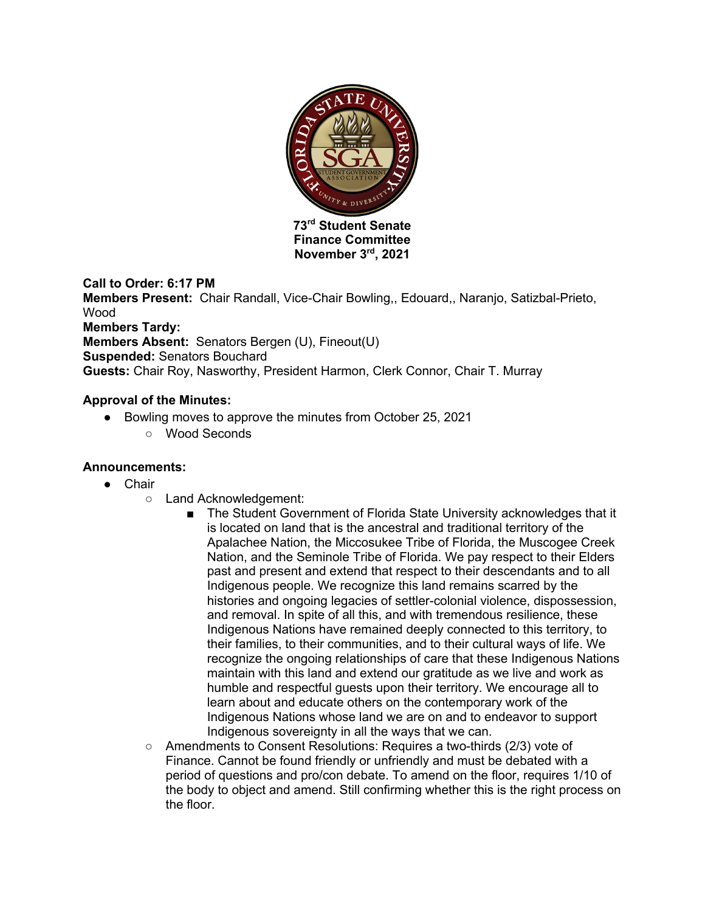

**Finance Committee November 3rd, 2021**

## **Call to Order: 6:17 PM**

**Members Present:** Chair Randall, Vice-Chair Bowling,, Edouard,, Naranjo, Satizbal-Prieto, Wood **Members Tardy: Members Absent:** Senators Bergen (U), Fineout(U) **Suspended:** Senators Bouchard **Guests:** Chair Roy, Nasworthy, President Harmon, Clerk Connor, Chair T. Murray

## **Approval of the Minutes:**

- Bowling moves to approve the minutes from October 25, 2021
	- Wood Seconds

## **Announcements:**

- Chair
	- Land Acknowledgement:
		- The Student Government of Florida State University acknowledges that it is located on land that is the ancestral and traditional territory of the Apalachee Nation, the Miccosukee Tribe of Florida, the Muscogee Creek Nation, and the Seminole Tribe of Florida. We pay respect to their Elders past and present and extend that respect to their descendants and to all Indigenous people. We recognize this land remains scarred by the histories and ongoing legacies of settler-colonial violence, dispossession, and removal. In spite of all this, and with tremendous resilience, these Indigenous Nations have remained deeply connected to this territory, to their families, to their communities, and to their cultural ways of life. We recognize the ongoing relationships of care that these Indigenous Nations maintain with this land and extend our gratitude as we live and work as humble and respectful guests upon their territory. We encourage all to learn about and educate others on the contemporary work of the Indigenous Nations whose land we are on and to endeavor to support Indigenous sovereignty in all the ways that we can.
	- Amendments to Consent Resolutions: Requires a two-thirds (2/3) vote of Finance. Cannot be found friendly or unfriendly and must be debated with a period of questions and pro/con debate. To amend on the floor, requires 1/10 of the body to object and amend. Still confirming whether this is the right process on the floor.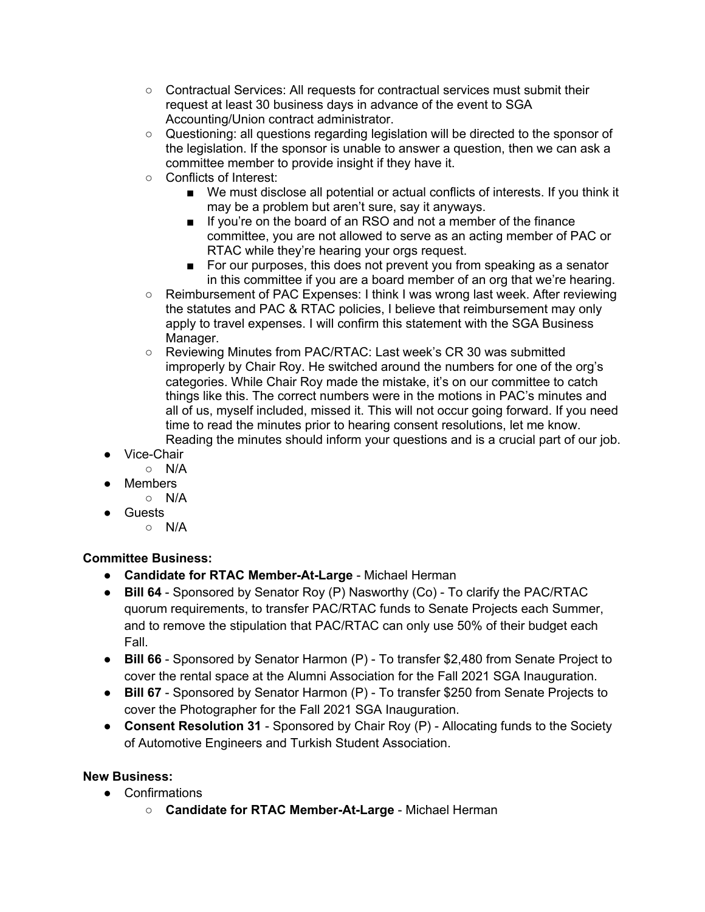- Contractual Services: All requests for contractual services must submit their request at least 30 business days in advance of the event to SGA Accounting/Union contract administrator.
- Questioning: all questions regarding legislation will be directed to the sponsor of the legislation. If the sponsor is unable to answer a question, then we can ask a committee member to provide insight if they have it.
- Conflicts of Interest:
	- We must disclose all potential or actual conflicts of interests. If you think it may be a problem but aren't sure, say it anyways.
	- If you're on the board of an RSO and not a member of the finance committee, you are not allowed to serve as an acting member of PAC or RTAC while they're hearing your orgs request.
	- For our purposes, this does not prevent you from speaking as a senator in this committee if you are a board member of an org that we're hearing.
- Reimbursement of PAC Expenses: I think I was wrong last week. After reviewing the statutes and PAC & RTAC policies, I believe that reimbursement may only apply to travel expenses. I will confirm this statement with the SGA Business Manager.
- Reviewing Minutes from PAC/RTAC: Last week's CR 30 was submitted improperly by Chair Roy. He switched around the numbers for one of the org's categories. While Chair Roy made the mistake, it's on our committee to catch things like this. The correct numbers were in the motions in PAC's minutes and all of us, myself included, missed it. This will not occur going forward. If you need time to read the minutes prior to hearing consent resolutions, let me know. Reading the minutes should inform your questions and is a crucial part of our job.
- Vice-Chair
	- N/A
- Members
	- N/A
- Guests
	- $\circ$  N/A

## **Committee Business:**

- **Candidate for RTAC Member-At-Large** Michael Herman
- **Bill 64**  Sponsored by Senator Roy (P) Nasworthy (Co) To clarify the PAC/RTAC quorum requirements, to transfer PAC/RTAC funds to Senate Projects each Summer, and to remove the stipulation that PAC/RTAC can only use 50% of their budget each Fall.
- **Bill 66**  Sponsored by Senator Harmon (P) To transfer \$2,480 from Senate Project to cover the rental space at the Alumni Association for the Fall 2021 SGA Inauguration.
- **Bill 67**  Sponsored by Senator Harmon (P) To transfer \$250 from Senate Projects to cover the Photographer for the Fall 2021 SGA Inauguration.
- **Consent Resolution 31** Sponsored by Chair Roy (P) Allocating funds to the Society of Automotive Engineers and Turkish Student Association.

## **New Business:**

- Confirmations
	- **Candidate for RTAC Member-At-Large** Michael Herman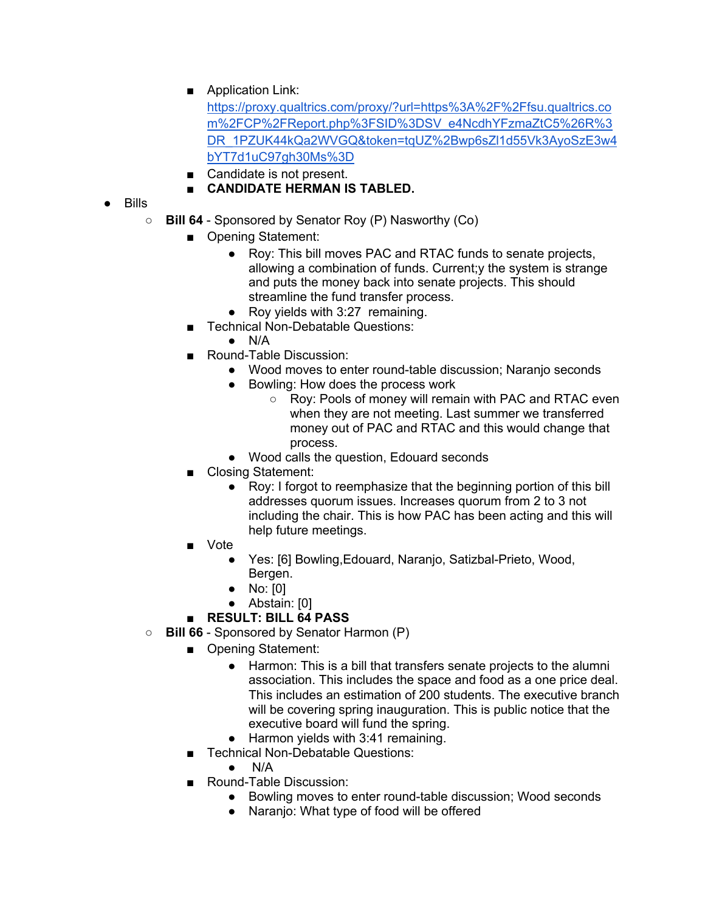■ Application Link:

https://proxy.qualtrics.com/proxy/?url=https%3A%2F%2Ffsu.qualtrics.co m%2FCP%2FReport.php%3FSID%3DSV\_e4NcdhYFzmaZtC5%26R%3 DR\_1PZUK44kQa2WVGQ&token=tqUZ%2Bwp6sZl1d55Vk3AyoSzE3w4 bYT7d1uC97gh30Ms%3D

■ Candidate is not present.

# ■ **CANDIDATE HERMAN IS TABLED.**

- Bills
	- **Bill 64** Sponsored by Senator Roy (P) Nasworthy (Co)
		- Opening Statement:
			- Roy: This bill moves PAC and RTAC funds to senate projects, allowing a combination of funds. Current;y the system is strange and puts the money back into senate projects. This should streamline the fund transfer process.
			- Roy yields with 3:27 remaining.
		- **Technical Non-Debatable Questions:** 
			- $\bullet$  N/A
		- Round-Table Discussion:
			- Wood moves to enter round-table discussion; Naranjo seconds
			- Bowling: How does the process work
				- Roy: Pools of money will remain with PAC and RTAC even when they are not meeting. Last summer we transferred money out of PAC and RTAC and this would change that process.
			- Wood calls the question, Edouard seconds
		- Closing Statement:
			- Roy: I forgot to reemphasize that the beginning portion of this bill addresses quorum issues. Increases quorum from 2 to 3 not including the chair. This is how PAC has been acting and this will help future meetings.
		- Vote
			- Yes: [6] Bowling, Edouard, Naranjo, Satizbal-Prieto, Wood, Bergen.
			- No: [0]
			- Abstain: [0]

## ■ **RESULT: BILL 64 PASS**

- **Bill 66** Sponsored by Senator Harmon (P)
	- Opening Statement:
		- Harmon: This is a bill that transfers senate projects to the alumni association. This includes the space and food as a one price deal. This includes an estimation of 200 students. The executive branch will be covering spring inauguration. This is public notice that the executive board will fund the spring.
		- Harmon yields with 3:41 remaining.
	- Technical Non-Debatable Questions:
		- $N/A$
	- Round-Table Discussion:
		- Bowling moves to enter round-table discussion; Wood seconds
		- Naranjo: What type of food will be offered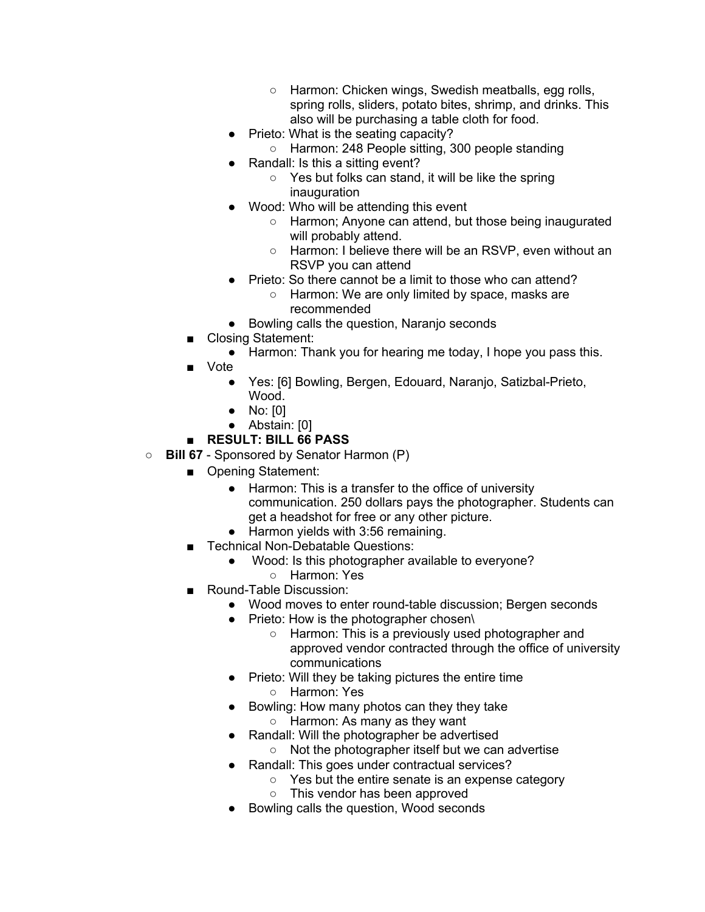- Harmon: Chicken wings, Swedish meatballs, egg rolls, spring rolls, sliders, potato bites, shrimp, and drinks. This also will be purchasing a table cloth for food.
- Prieto: What is the seating capacity?
- Harmon: 248 People sitting, 300 people standing
- Randall: Is this a sitting event?
	- Yes but folks can stand, it will be like the spring inauguration
- Wood: Who will be attending this event
	- Harmon; Anyone can attend, but those being inaugurated will probably attend.
	- Harmon: I believe there will be an RSVP, even without an RSVP you can attend
- Prieto: So there cannot be a limit to those who can attend?
	- Harmon: We are only limited by space, masks are recommended
- Bowling calls the question, Naranjo seconds
- Closing Statement:
	- Harmon: Thank you for hearing me today, I hope you pass this.
- Vote
	- Yes: [6] Bowling, Bergen, Edouard, Naranjo, Satizbal-Prieto, Wood.
	- No: [0]
	- Abstain: [0]

# ■ **RESULT: BILL 66 PASS**

- **Bill 67** Sponsored by Senator Harmon (P)
	- Opening Statement:
		- Harmon: This is a transfer to the office of university communication. 250 dollars pays the photographer. Students can get a headshot for free or any other picture.
		- Harmon yields with 3:56 remaining.
	- Technical Non-Debatable Questions:
		- Wood: Is this photographer available to everyone?
			- Harmon: Yes
	- Round-Table Discussion:
		- Wood moves to enter round-table discussion; Bergen seconds
			- Prieto: How is the photographer chosen\
				- Harmon: This is a previously used photographer and approved vendor contracted through the office of university communications
			- Prieto: Will they be taking pictures the entire time ○ Harmon: Yes
			- Bowling: How many photos can they they take
				- Harmon: As many as they want
			- Randall: Will the photographer be advertised
				- Not the photographer itself but we can advertise
			- Randall: This goes under contractual services?
				- Yes but the entire senate is an expense category
				- This vendor has been approved
			- Bowling calls the question, Wood seconds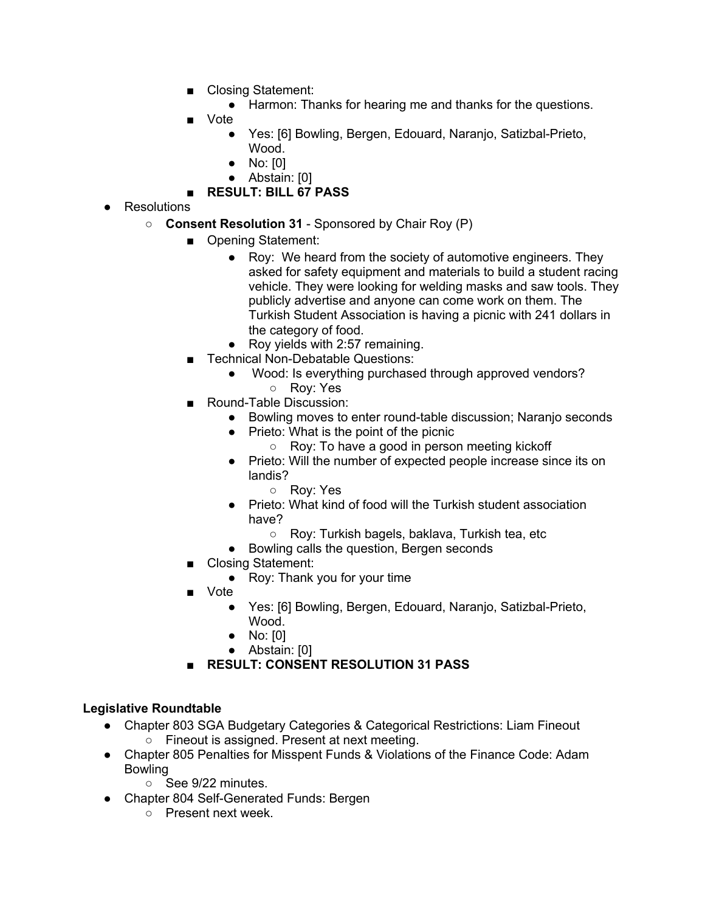- Closing Statement:
	- Harmon: Thanks for hearing me and thanks for the questions.
- Vote
	- Yes: [6] Bowling, Bergen, Edouard, Naranjo, Satizbal-Prieto, Wood.
	- No: [0]
	- Abstain: [0]
- **RESULT: BILL 67 PASS**
- Resolutions
	- **Consent Resolution 31** Sponsored by Chair Roy (P)
		- Opening Statement:
			- Roy: We heard from the society of automotive engineers. They asked for safety equipment and materials to build a student racing vehicle. They were looking for welding masks and saw tools. They publicly advertise and anyone can come work on them. The Turkish Student Association is having a picnic with 241 dollars in the category of food.
			- Roy yields with 2:57 remaining.
		- Technical Non-Debatable Questions:
			- Wood: Is everything purchased through approved vendors?
			- Roy: Yes
		- Round-Table Discussion:
			- Bowling moves to enter round-table discussion; Naranjo seconds
			- Prieto: What is the point of the picnic
				- Roy: To have a good in person meeting kickoff
			- Prieto: Will the number of expected people increase since its on landis?
				- Roy: Yes
			- Prieto: What kind of food will the Turkish student association have?
				- Roy: Turkish bagels, baklava, Turkish tea, etc
			- Bowling calls the question, Bergen seconds
		- Closing Statement:
			- Roy: Thank you for your time
		- Vote
			- Yes: [6] Bowling, Bergen, Edouard, Naranjo, Satizbal-Prieto, Wood.
			- No: [0]
			- Abstain: [0]
		- **RESULT: CONSENT RESOLUTION 31 PASS**

## **Legislative Roundtable**

- Chapter 803 SGA Budgetary Categories & Categorical Restrictions: Liam Fineout ○ Fineout is assigned. Present at next meeting.
- Chapter 805 Penalties for Misspent Funds & Violations of the Finance Code: Adam Bowling
	- See 9/22 minutes.
- Chapter 804 Self-Generated Funds: Bergen
	- Present next week.